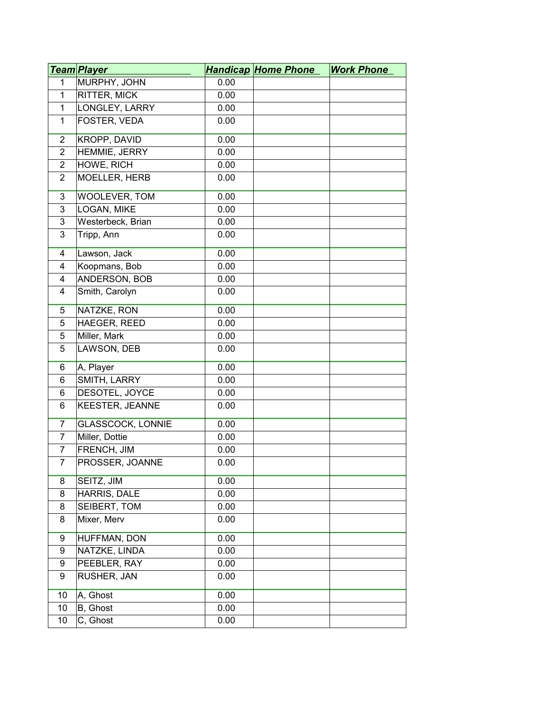|                | <u>Team Player</u>       |      | <b>Handicap Home Phone</b> | <b>Work Phone</b> |
|----------------|--------------------------|------|----------------------------|-------------------|
| 1              | MURPHY, JOHN             | 0.00 |                            |                   |
| $\mathbf{1}$   | <b>RITTER, MICK</b>      | 0.00 |                            |                   |
| $\mathbf{1}$   | LONGLEY, LARRY           | 0.00 |                            |                   |
| $\mathbf{1}$   | FOSTER, VEDA             | 0.00 |                            |                   |
| $\overline{2}$ | <b>KROPP, DAVID</b>      | 0.00 |                            |                   |
| $\overline{2}$ | HEMMIE, JERRY            | 0.00 |                            |                   |
| $\overline{2}$ | HOWE, RICH               | 0.00 |                            |                   |
| $\overline{2}$ | MOELLER, HERB            | 0.00 |                            |                   |
| $\overline{3}$ | <b>WOOLEVER, TOM</b>     | 0.00 |                            |                   |
| 3              | LOGAN, MIKE              | 0.00 |                            |                   |
| 3              | Westerbeck, Brian        | 0.00 |                            |                   |
| 3              | Tripp, Ann               | 0.00 |                            |                   |
| 4              | Lawson, Jack             | 0.00 |                            |                   |
| $\overline{4}$ | Koopmans, Bob            | 0.00 |                            |                   |
| 4              | ANDERSON, BOB            | 0.00 |                            |                   |
| 4              | Smith, Carolyn           | 0.00 |                            |                   |
| $\overline{5}$ | NATZKE, RON              | 0.00 |                            |                   |
| 5              | HAEGER, REED             | 0.00 |                            |                   |
| 5              | Miller, Mark             | 0.00 |                            |                   |
| 5              | LAWSON, DEB              | 0.00 |                            |                   |
| 6              | A, Player                | 0.00 |                            |                   |
| 6              | SMITH, LARRY             | 0.00 |                            |                   |
| 6              | DESOTEL, JOYCE           | 0.00 |                            |                   |
| 6              | <b>KEESTER, JEANNE</b>   | 0.00 |                            |                   |
| 7              | <b>GLASSCOCK, LONNIE</b> | 0.00 |                            |                   |
| $\overline{7}$ | Miller, Dottie           | 0.00 |                            |                   |
| $\overline{7}$ | <b>FRENCH, JIM</b>       | 0.00 |                            |                   |
| 7              | PROSSER, JOANNE          | 0.00 |                            |                   |
| 8              | SEITZ, JIM               | 0.00 |                            |                   |
| 8              | HARRIS, DALE             | 0.00 |                            |                   |
| 8              | SEIBERT, TOM             | 0.00 |                            |                   |
| 8              | Mixer, Merv              | 0.00 |                            |                   |
| 9              | <b>HUFFMAN, DON</b>      | 0.00 |                            |                   |
| 9              | NATZKE, LINDA            | 0.00 |                            |                   |
| 9              | PEEBLER, RAY             | 0.00 |                            |                   |
| 9              | RUSHER, JAN              | 0.00 |                            |                   |
| 10             | A, Ghost                 | 0.00 |                            |                   |
| 10             | B, Ghost                 | 0.00 |                            |                   |
| 10             | C, Ghost                 | 0.00 |                            |                   |